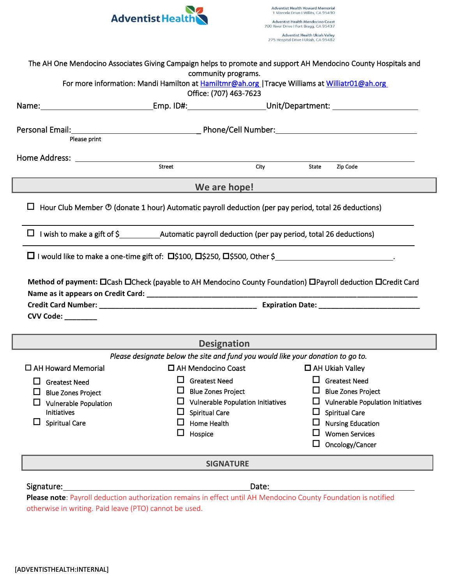

|                                                           | For more information: Mandi Hamilton at Hamiltmr@ah.org   Tracye Williams at Williatr01@ah.org<br>Office: (707) 463-7623            |                                                             |
|-----------------------------------------------------------|-------------------------------------------------------------------------------------------------------------------------------------|-------------------------------------------------------------|
|                                                           |                                                                                                                                     |                                                             |
|                                                           |                                                                                                                                     |                                                             |
| Please print                                              |                                                                                                                                     |                                                             |
|                                                           | City                                                                                                                                | State<br>Zip Code                                           |
|                                                           | We are hope!                                                                                                                        |                                                             |
|                                                           | $\Box$ Hour Club Member $\odot$ (donate 1 hour) Automatic payroll deduction (per pay period, total 26 deductions)                   |                                                             |
|                                                           |                                                                                                                                     |                                                             |
|                                                           | $\Box$ I wish to make a gift of $\Diamond$ Automatic payroll deduction (per pay period, total 26 deductions)                        |                                                             |
|                                                           |                                                                                                                                     |                                                             |
|                                                           |                                                                                                                                     |                                                             |
|                                                           | $\Box$ I would like to make a one-time gift of: $\Box$ \$100, $\Box$ \$250, $\Box$ \$500, Other \$                                  |                                                             |
|                                                           |                                                                                                                                     |                                                             |
|                                                           | Method of payment: $\Box$ Cash $\Box$ Check (payable to AH Mendocino County Foundation) $\Box$ Payroll deduction $\Box$ Credit Card |                                                             |
|                                                           |                                                                                                                                     |                                                             |
|                                                           |                                                                                                                                     |                                                             |
| CVV Code: ________                                        |                                                                                                                                     |                                                             |
|                                                           | <b>Designation</b>                                                                                                                  |                                                             |
|                                                           | Please designate below the site and fund you would like your donation to go to.                                                     |                                                             |
| $\Box$ AH Howard Memorial                                 | □ AH Mendocino Coast                                                                                                                | $\Box$ AH Ukiah Valley                                      |
|                                                           | $\Box$ Greatest Need                                                                                                                | $\Box$ Greatest Need                                        |
| $\Box$ Greatest Need                                      | <b>Blue Zones Project</b><br>ப                                                                                                      | <b>Blue Zones Project</b><br>ப                              |
| <b>Blue Zones Project</b><br><b>Vulnerable Population</b> | <b>Vulnerable Population Initiatives</b>                                                                                            |                                                             |
| <b>Initiatives</b>                                        | <b>Spiritual Care</b>                                                                                                               | <b>Spiritual Care</b><br>⊔                                  |
| <b>Spiritual Care</b>                                     | <b>Home Health</b>                                                                                                                  | <b>Nursing Education</b>                                    |
|                                                           | Hospice<br>ப                                                                                                                        | <b>Women Services</b>                                       |
|                                                           |                                                                                                                                     | <b>Vulnerable Population Initiatives</b><br>Oncology/Cancer |

otherwise in writing. Paid leave (PTO) cannot be used.